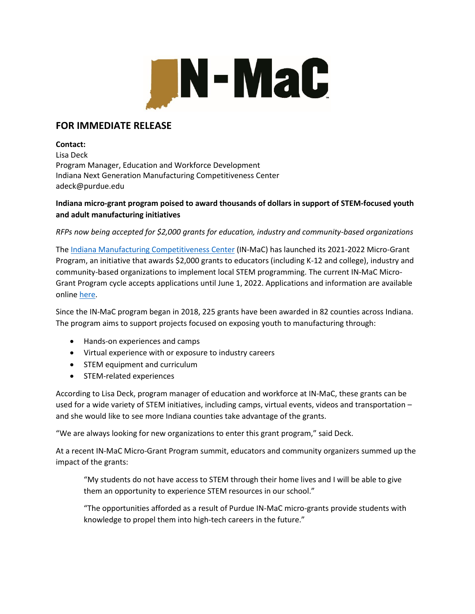

## **FOR IMMEDIATE RELEASE**

#### **Contact:**

Lisa Deck Program Manager, Education and Workforce Development Indiana Next Generation Manufacturing Competitiveness Center adeck@purdue.edu

### **Indiana micro-grant program poised to award thousands of dollars in support of STEM-focused youth and adult manufacturing initiatives**

*RFPs now being accepted for \$2,000 grants for education, industry and community-based organizations*

The [Indiana Manufacturing Competitiveness Center](https://www.purdue.edu/in-mac/) (IN-MaC) has launched its 2021-2022 Micro-Grant Program, an initiative that awards \$2,000 grants to educators (including K-12 and college), industry and community-based organizations to implement local STEM programming. The current IN-MaC Micro-Grant Program cycle accepts applications until June 1, 2022. Applications and information are available online [here.](https://purdue.ca1.qualtrics.com/jfe/form/SV_5vEdXd0blMULB78)

Since the IN-MaC program began in 2018, 225 grants have been awarded in 82 counties across Indiana. The program aims to support projects focused on exposing youth to manufacturing through:

- Hands-on experiences and camps
- Virtual experience with or exposure to industry careers
- STEM equipment and curriculum
- STEM-related experiences

According to Lisa Deck, program manager of education and workforce at IN-MaC, these grants can be used for a wide variety of STEM initiatives, including camps, virtual events, videos and transportation – and she would like to see more Indiana counties take advantage of the grants.

"We are always looking for new organizations to enter this grant program," said Deck.

At a recent IN-MaC Micro-Grant Program summit, educators and community organizers summed up the impact of the grants:

"My students do not have access to STEM through their home lives and I will be able to give them an opportunity to experience STEM resources in our school."

"The opportunities afforded as a result of Purdue IN-MaC micro-grants provide students with knowledge to propel them into high-tech careers in the future."